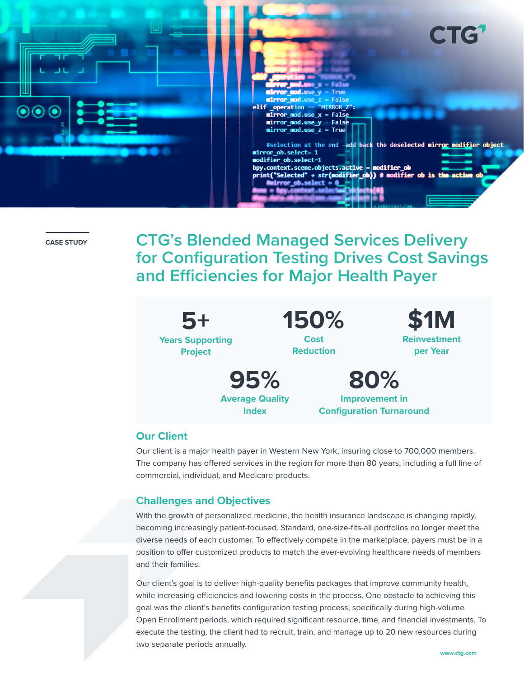

**CASE STUDY**

**CTG's Blended Managed Services Delivery for Configuration Testing Drives Cost Savings and Efficiencies for Major Health Payer** 



## **Our Client**

Our client is a major health payer in Western New York, insuring close to 700,000 members. The company has offered services in the region for more than 80 years, including a full line of commercial, individual, and Medicare products.

## **Challenges and Objectives**

With the growth of personalized medicine, the health insurance landscape is changing rapidly, becoming increasingly patient-focused. Standard, one-size-fits-all portfolios no longer meet the diverse needs of each customer. To effectively compete in the marketplace, payers must be in a position to offer customized products to match the ever-evolving healthcare needs of members and their families.

Our client's goal is to deliver high-quality benefits packages that improve community health, while increasing efficiencies and lowering costs in the process. One obstacle to achieving this goal was the client's benefits configuration testing process, specifically during high-volume Open Enrollment periods, which required significant resource, time, and financial investments. To execute the testing, the client had to recruit, train, and manage up to 20 new resources during two separate periods annually.